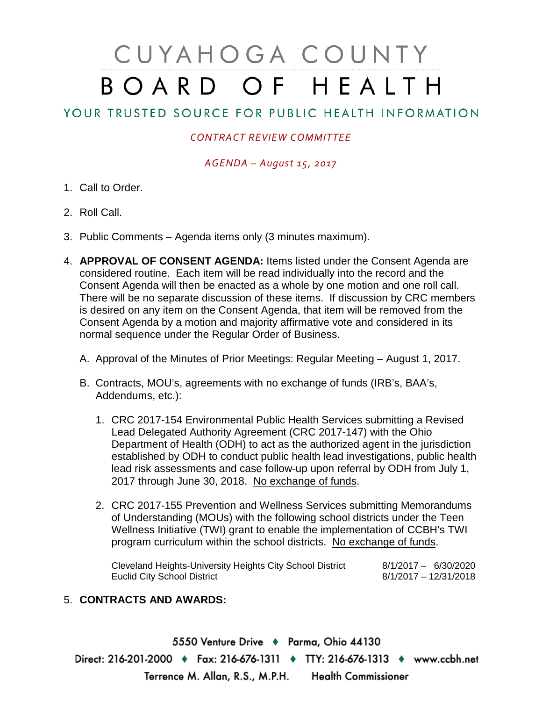# CUYAHOGA COUNTY BOARD OF HEALTH

# YOUR TRUSTED SOURCE FOR PUBLIC HEALTH INFORMATION

## *CONTRACT REVIEW COMMITTEE*

#### *AGENDA – August 15, 2017*

- 1. Call to Order.
- 2. Roll Call.
- 3. Public Comments Agenda items only (3 minutes maximum).
- 4. **APPROVAL OF CONSENT AGENDA:** Items listed under the Consent Agenda are considered routine. Each item will be read individually into the record and the Consent Agenda will then be enacted as a whole by one motion and one roll call. There will be no separate discussion of these items. If discussion by CRC members is desired on any item on the Consent Agenda, that item will be removed from the Consent Agenda by a motion and majority affirmative vote and considered in its normal sequence under the Regular Order of Business.
	- A. Approval of the Minutes of Prior Meetings: Regular Meeting August 1, 2017.
	- B. Contracts, MOU's, agreements with no exchange of funds (IRB's, BAA's, Addendums, etc.):
		- 1. CRC 2017-154 Environmental Public Health Services submitting a Revised Lead Delegated Authority Agreement (CRC 2017-147) with the Ohio Department of Health (ODH) to act as the authorized agent in the jurisdiction established by ODH to conduct public health lead investigations, public health lead risk assessments and case follow-up upon referral by ODH from July 1, 2017 through June 30, 2018. No exchange of funds.
		- 2. CRC 2017-155 Prevention and Wellness Services submitting Memorandums of Understanding (MOUs) with the following school districts under the Teen Wellness Initiative (TWI) grant to enable the implementation of CCBH's TWI program curriculum within the school districts. No exchange of funds.

Cleveland Heights-University Heights City School District 8/1/2017 – 6/30/2020 Euclid City School District

### 5. **CONTRACTS AND AWARDS:**

5550 Venture Drive + Parma, Ohio 44130 Direct: 216-201-2000 • Fax: 216-676-1311 • TTY: 216-676-1313 • www.ccbh.net Terrence M. Allan, R.S., M.P.H. Health Commissioner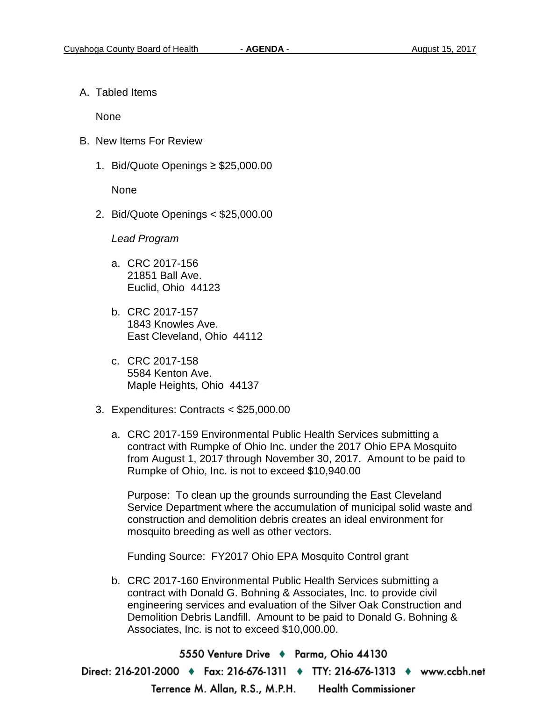A. Tabled Items

None

- B. New Items For Review
	- 1. Bid/Quote Openings ≥ \$25,000.00

None

2. Bid/Quote Openings < \$25,000.00

*Lead Program* 

- a. CRC 2017-156 21851 Ball Ave. Euclid, Ohio 44123
- b. CRC 2017-157 1843 Knowles Ave. East Cleveland, Ohio 44112
- c. CRC 2017-158 5584 Kenton Ave. Maple Heights, Ohio 44137
- 3. Expenditures: Contracts < \$25,000.00
	- a. CRC 2017-159 Environmental Public Health Services submitting a contract with Rumpke of Ohio Inc. under the 2017 Ohio EPA Mosquito from August 1, 2017 through November 30, 2017. Amount to be paid to Rumpke of Ohio, Inc. is not to exceed \$10,940.00

Purpose: To clean up the grounds surrounding the East Cleveland Service Department where the accumulation of municipal solid waste and construction and demolition debris creates an ideal environment for mosquito breeding as well as other vectors.

Funding Source: FY2017 Ohio EPA Mosquito Control grant

b. CRC 2017-160 Environmental Public Health Services submitting a contract with Donald G. Bohning & Associates, Inc. to provide civil engineering services and evaluation of the Silver Oak Construction and Demolition Debris Landfill. Amount to be paid to Donald G. Bohning & Associates, Inc. is not to exceed \$10,000.00.

5550 Venture Drive → Parma, Ohio 44130 Direct: 216-201-2000 ♦ Fax: 216-676-1311 ♦ TTY: 216-676-1313 ♦ www.ccbh.net **Health Commissioner** Terrence M. Allan, R.S., M.P.H.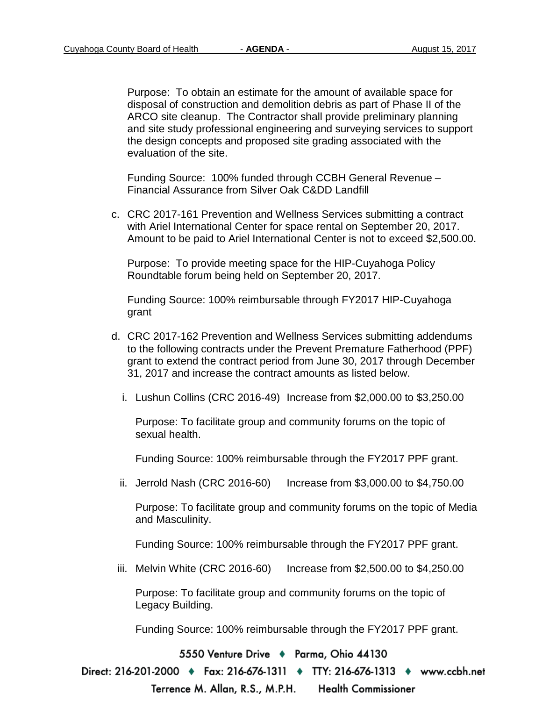Purpose: To obtain an estimate for the amount of available space for disposal of construction and demolition debris as part of Phase II of the ARCO site cleanup. The Contractor shall provide preliminary planning and site study professional engineering and surveying services to support the design concepts and proposed site grading associated with the evaluation of the site.

Funding Source: 100% funded through CCBH General Revenue – Financial Assurance from Silver Oak C&DD Landfill

c. CRC 2017-161 Prevention and Wellness Services submitting a contract with Ariel International Center for space rental on September 20, 2017. Amount to be paid to Ariel International Center is not to exceed \$2,500.00.

Purpose: To provide meeting space for the HIP-Cuyahoga Policy Roundtable forum being held on September 20, 2017.

Funding Source: 100% reimbursable through FY2017 HIP-Cuyahoga grant

- d. CRC 2017-162 Prevention and Wellness Services submitting addendums to the following contracts under the Prevent Premature Fatherhood (PPF) grant to extend the contract period from June 30, 2017 through December 31, 2017 and increase the contract amounts as listed below.
	- i. Lushun Collins (CRC 2016-49) Increase from \$2,000.00 to \$3,250.00

Purpose: To facilitate group and community forums on the topic of sexual health.

Funding Source: 100% reimbursable through the FY2017 PPF grant.

ii. Jerrold Nash (CRC 2016-60) Increase from \$3,000.00 to \$4,750.00

Purpose: To facilitate group and community forums on the topic of Media and Masculinity.

Funding Source: 100% reimbursable through the FY2017 PPF grant.

iii. Melvin White (CRC 2016-60) Increase from \$2,500.00 to \$4,250.00

Purpose: To facilitate group and community forums on the topic of Legacy Building.

Funding Source: 100% reimbursable through the FY2017 PPF grant.

5550 Venture Drive + Parma, Ohio 44130

Direct: 216-201-2000 ♦ Fax: 216-676-1311 ♦ TTY: 216-676-1313 ♦ www.ccbh.net

Terrence M. Allan, R.S., M.P.H. **Health Commissioner**